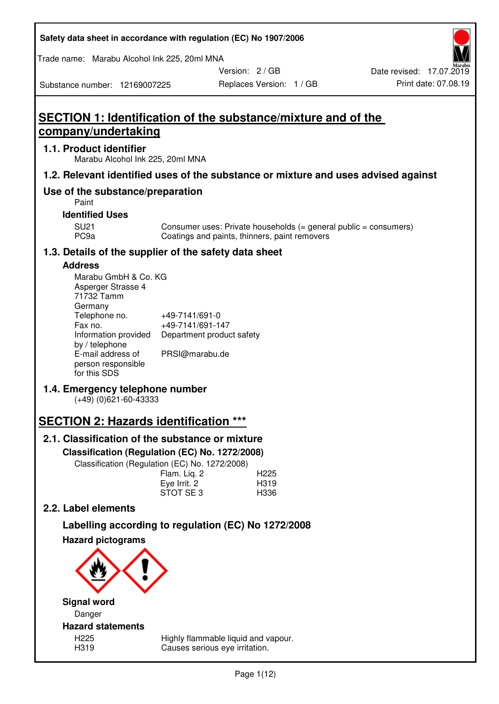| Safety data sheet in accordance with regulation (EC) No 1907/2006 |  |
|-------------------------------------------------------------------|--|
|-------------------------------------------------------------------|--|

Trade name: Marabu Alcohol Ink 225, 20ml MNA

Version: 2 / GB

Substance number: 12169007225

# **SECTION 1: Identification of the substance/mixture and of the company/undertaking**

## **1.1. Product identifier**

Marabu Alcohol Ink 225, 20ml MNA

## **1.2. Relevant identified uses of the substance or mixture and uses advised against**

## **Use of the substance/preparation**

Paint

### **Identified Uses**

SU21 Consumer uses: Private households (= general public = consumers)<br>PC9a Coatings and paints, thinners, paint removers Coatings and paints, thinners, paint removers

## **1.3. Details of the supplier of the safety data sheet**

## **Address**

| Marabu GmbH & Co. KG |                           |
|----------------------|---------------------------|
| Asperger Strasse 4   |                           |
| 71732 Tamm           |                           |
| Germany              |                           |
| Telephone no.        | +49-7141/691-0            |
| Fax no.              | +49-7141/691-147          |
| Information provided | Department product safety |
| by / telephone       |                           |
| E-mail address of    | PRSI@marabu.de            |
| person responsible   |                           |
| for this SDS         |                           |

## **1.4. Emergency telephone number**

(+49) (0)621-60-43333

# **SECTION 2: Hazards identification \*\*\***

## **2.1. Classification of the substance or mixture**

**Classification (Regulation (EC) No. 1272/2008)** 

Classification (Regulation (EC) No. 1272/2008)

|              | . |                  |
|--------------|---|------------------|
| Flam. Lig. 2 |   | H <sub>225</sub> |
| Eye Irrit. 2 |   | H319             |
| STOT SE3     |   | H336             |
|              |   |                  |

## **2.2. Label elements**

# **Labelling according to regulation (EC) No 1272/2008**



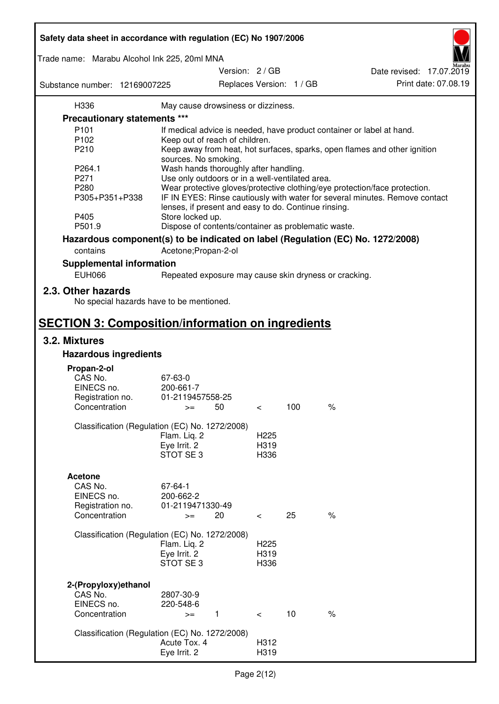| Safety data sheet in accordance with regulation (EC) No 1907/2006 |                                                                |                  |                          |                                                                                 |
|-------------------------------------------------------------------|----------------------------------------------------------------|------------------|--------------------------|---------------------------------------------------------------------------------|
| Trade name: Marabu Alcohol Ink 225, 20ml MNA                      |                                                                |                  |                          |                                                                                 |
| Substance number: 12169007225                                     | Version: 2 / GB                                                |                  | Replaces Version: 1 / GB | Date revised: 17.07.2019<br>Print date: 07.08.19                                |
| H336                                                              | May cause drowsiness or dizziness.                             |                  |                          |                                                                                 |
| <b>Precautionary statements ***</b>                               |                                                                |                  |                          |                                                                                 |
| P <sub>101</sub>                                                  |                                                                |                  |                          | If medical advice is needed, have product container or label at hand.           |
| P102                                                              | Keep out of reach of children.                                 |                  |                          |                                                                                 |
| P210                                                              |                                                                |                  |                          | Keep away from heat, hot surfaces, sparks, open flames and other ignition       |
|                                                                   | sources. No smoking.                                           |                  |                          |                                                                                 |
| P264.1                                                            | Wash hands thoroughly after handling.                          |                  |                          |                                                                                 |
| P271                                                              | Use only outdoors or in a well-ventilated area.                |                  |                          |                                                                                 |
| P280                                                              |                                                                |                  |                          | Wear protective gloves/protective clothing/eye protection/face protection.      |
| P305+P351+P338                                                    |                                                                |                  |                          | IF IN EYES: Rinse cautiously with water for several minutes. Remove contact     |
|                                                                   | lenses, if present and easy to do. Continue rinsing.           |                  |                          |                                                                                 |
| P405                                                              | Store locked up.                                               |                  |                          |                                                                                 |
| P501.9                                                            | Dispose of contents/container as problematic waste.            |                  |                          |                                                                                 |
|                                                                   |                                                                |                  |                          |                                                                                 |
|                                                                   |                                                                |                  |                          | Hazardous component(s) to be indicated on label (Regulation (EC) No. 1272/2008) |
| contains                                                          | Acetone; Propan-2-ol                                           |                  |                          |                                                                                 |
| <b>Supplemental information</b>                                   |                                                                |                  |                          |                                                                                 |
| <b>EUH066</b>                                                     | Repeated exposure may cause skin dryness or cracking.          |                  |                          |                                                                                 |
|                                                                   |                                                                |                  |                          |                                                                                 |
| 2.3. Other hazards<br>No special hazards have to be mentioned.    |                                                                |                  |                          |                                                                                 |
| <b>SECTION 3: Composition/information on ingredients</b>          |                                                                |                  |                          |                                                                                 |
| 3.2. Mixtures                                                     |                                                                |                  |                          |                                                                                 |
| <b>Hazardous ingredients</b>                                      |                                                                |                  |                          |                                                                                 |
|                                                                   |                                                                |                  |                          |                                                                                 |
| Propan-2-ol                                                       |                                                                |                  |                          |                                                                                 |
| CAS No.                                                           | 67-63-0                                                        |                  |                          |                                                                                 |
| EINECS no.                                                        | 200-661-7                                                      |                  |                          |                                                                                 |
| Registration no.                                                  | 01-2119457558-25                                               |                  | 100                      | $\%$                                                                            |
| Concentration                                                     | 50<br>$>=$                                                     | $\,<\,$          |                          |                                                                                 |
|                                                                   | Classification (Regulation (EC) No. 1272/2008)                 |                  |                          |                                                                                 |
|                                                                   | Flam. Liq. 2                                                   | H <sub>225</sub> |                          |                                                                                 |
|                                                                   | Eye Irrit. 2                                                   | H319             |                          |                                                                                 |
|                                                                   | STOT SE 3                                                      | H336             |                          |                                                                                 |
|                                                                   |                                                                |                  |                          |                                                                                 |
| <b>Acetone</b>                                                    |                                                                |                  |                          |                                                                                 |
| CAS No.                                                           | 67-64-1                                                        |                  |                          |                                                                                 |
| EINECS no.                                                        | 200-662-2                                                      |                  |                          |                                                                                 |
| Registration no.                                                  | 01-2119471330-49                                               |                  |                          |                                                                                 |
| Concentration                                                     | 20<br>$>=$                                                     | $\,<\,$          | 25                       | $\%$                                                                            |
|                                                                   |                                                                |                  |                          |                                                                                 |
|                                                                   | Classification (Regulation (EC) No. 1272/2008)                 |                  |                          |                                                                                 |
|                                                                   | Flam. Liq. 2                                                   | H <sub>225</sub> |                          |                                                                                 |
|                                                                   | Eye Irrit. 2                                                   | H319             |                          |                                                                                 |
|                                                                   | STOT SE3                                                       | H336             |                          |                                                                                 |
|                                                                   |                                                                |                  |                          |                                                                                 |
| 2-(Propyloxy) ethanol                                             |                                                                |                  |                          |                                                                                 |
| CAS No.                                                           | 2807-30-9                                                      |                  |                          |                                                                                 |
| EINECS no.                                                        | 220-548-6                                                      |                  |                          |                                                                                 |
| Concentration                                                     | $\mathbf{1}$<br>$>=$                                           | $\lt$            | 10                       | $\%$                                                                            |
|                                                                   |                                                                |                  |                          |                                                                                 |
|                                                                   | Classification (Regulation (EC) No. 1272/2008)<br>Acute Tox. 4 | H312             |                          |                                                                                 |
|                                                                   | Eye Irrit. 2                                                   | H319             |                          |                                                                                 |
|                                                                   |                                                                |                  |                          |                                                                                 |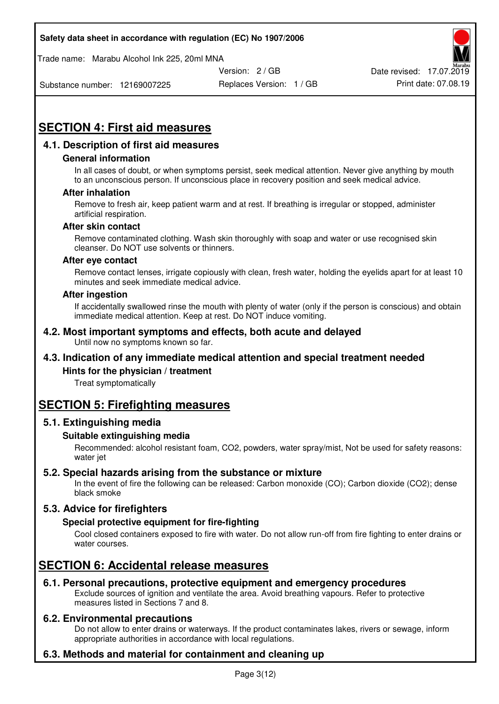Trade name: Marabu Alcohol Ink 225, 20ml MNA



Substance number: 12169007225

Replaces Version: 1 / GB Print date: 07.08.19

# **SECTION 4: First aid measures**

## **4.1. Description of first aid measures**

#### **General information**

In all cases of doubt, or when symptoms persist, seek medical attention. Never give anything by mouth to an unconscious person. If unconscious place in recovery position and seek medical advice.

#### **After inhalation**

Remove to fresh air, keep patient warm and at rest. If breathing is irregular or stopped, administer artificial respiration.

#### **After skin contact**

Remove contaminated clothing. Wash skin thoroughly with soap and water or use recognised skin cleanser. Do NOT use solvents or thinners.

#### **After eye contact**

Remove contact lenses, irrigate copiously with clean, fresh water, holding the eyelids apart for at least 10 minutes and seek immediate medical advice.

#### **After ingestion**

If accidentally swallowed rinse the mouth with plenty of water (only if the person is conscious) and obtain immediate medical attention. Keep at rest. Do NOT induce vomiting.

#### **4.2. Most important symptoms and effects, both acute and delayed**  Until now no symptoms known so far.

## **4.3. Indication of any immediate medical attention and special treatment needed**

#### **Hints for the physician / treatment**

Treat symptomatically

## **SECTION 5: Firefighting measures**

#### **5.1. Extinguishing media**

#### **Suitable extinguishing media**

Recommended: alcohol resistant foam, CO2, powders, water spray/mist, Not be used for safety reasons: water jet

#### **5.2. Special hazards arising from the substance or mixture**

In the event of fire the following can be released: Carbon monoxide (CO); Carbon dioxide (CO2); dense black smoke

## **5.3. Advice for firefighters**

#### **Special protective equipment for fire-fighting**

Cool closed containers exposed to fire with water. Do not allow run-off from fire fighting to enter drains or water courses.

## **SECTION 6: Accidental release measures**

#### **6.1. Personal precautions, protective equipment and emergency procedures**

Exclude sources of ignition and ventilate the area. Avoid breathing vapours. Refer to protective measures listed in Sections 7 and 8.

#### **6.2. Environmental precautions**

Do not allow to enter drains or waterways. If the product contaminates lakes, rivers or sewage, inform appropriate authorities in accordance with local regulations.

## **6.3. Methods and material for containment and cleaning up**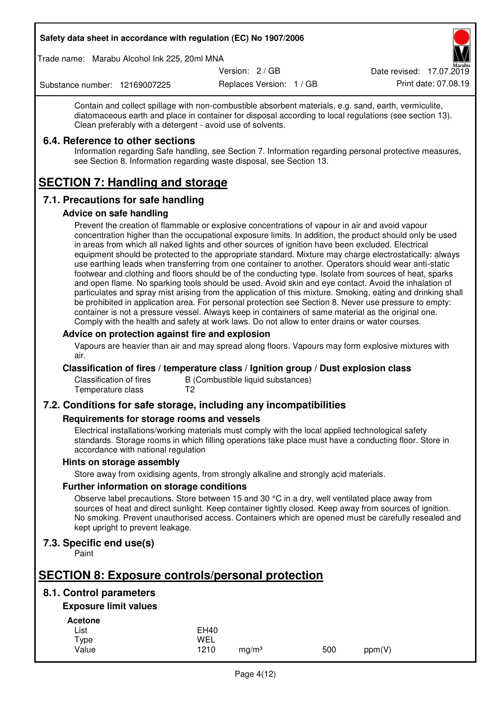Trade name: Marabu Alcohol Ink 225, 20ml MNA

Version: 2 / GB

Replaces Version: 1 / GB Print date: 07.08.19 Date revised: 17.07.2019

Substance number: 12169007225

Contain and collect spillage with non-combustible absorbent materials, e.g. sand, earth, vermiculite, diatomaceous earth and place in container for disposal according to local regulations (see section 13). Clean preferably with a detergent - avoid use of solvents.

## **6.4. Reference to other sections**

Information regarding Safe handling, see Section 7. Information regarding personal protective measures, see Section 8. Information regarding waste disposal, see Section 13.

# **SECTION 7: Handling and storage**

## **7.1. Precautions for safe handling**

#### **Advice on safe handling**

Prevent the creation of flammable or explosive concentrations of vapour in air and avoid vapour concentration higher than the occupational exposure limits. In addition, the product should only be used in areas from which all naked lights and other sources of ignition have been excluded. Electrical equipment should be protected to the appropriate standard. Mixture may charge electrostatically: always use earthing leads when transferring from one container to another. Operators should wear anti-static footwear and clothing and floors should be of the conducting type. Isolate from sources of heat, sparks and open flame. No sparking tools should be used. Avoid skin and eye contact. Avoid the inhalation of particulates and spray mist arising from the application of this mixture. Smoking, eating and drinking shall be prohibited in application area. For personal protection see Section 8. Never use pressure to empty: container is not a pressure vessel. Always keep in containers of same material as the original one. Comply with the health and safety at work laws. Do not allow to enter drains or water courses.

### **Advice on protection against fire and explosion**

Vapours are heavier than air and may spread along floors. Vapours may form explosive mixtures with air.

#### **Classification of fires / temperature class / Ignition group / Dust explosion class**

Classification of fires B (Combustible liquid substances)<br>Temperature class T2 Temperature class

## **7.2. Conditions for safe storage, including any incompatibilities**

#### **Requirements for storage rooms and vessels**

Electrical installations/working materials must comply with the local applied technological safety standards. Storage rooms in which filling operations take place must have a conducting floor. Store in accordance with national regulation

#### **Hints on storage assembly**

Store away from oxidising agents, from strongly alkaline and strongly acid materials.

#### **Further information on storage conditions**

Observe label precautions. Store between 15 and 30 °C in a dry, well ventilated place away from sources of heat and direct sunlight. Keep container tightly closed. Keep away from sources of ignition. No smoking. Prevent unauthorised access. Containers which are opened must be carefully resealed and kept upright to prevent leakage.

## **7.3. Specific end use(s)**

Paint

# **SECTION 8: Exposure controls/personal protection**

## **8.1. Control parameters**

## **Exposure limit values**

**Acetone** 

| -------- |             |                   |     |        |
|----------|-------------|-------------------|-----|--------|
| List     | <b>EH40</b> |                   |     |        |
| Type     | WEL         |                   |     |        |
| Value    | 1210        | ma/m <sup>3</sup> | 500 | ppm(V) |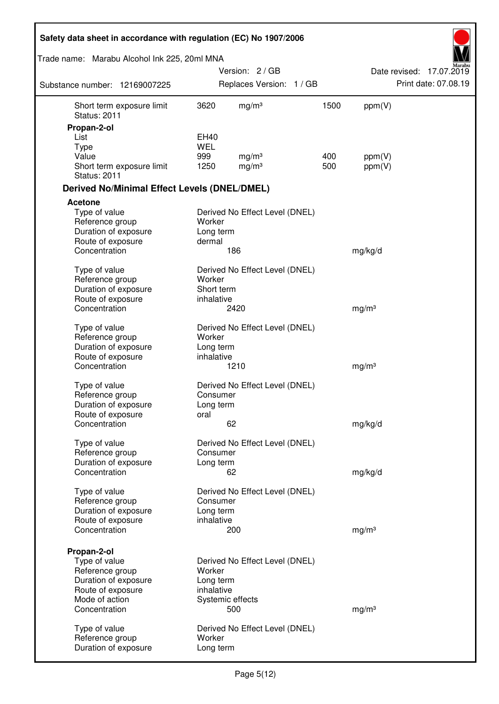| Safety data sheet in accordance with regulation (EC) No 1907/2006                                                               |                                     |                                                           |      |                   |                          |
|---------------------------------------------------------------------------------------------------------------------------------|-------------------------------------|-----------------------------------------------------------|------|-------------------|--------------------------|
| Trade name: Marabu Alcohol Ink 225, 20ml MNA                                                                                    |                                     |                                                           |      |                   |                          |
|                                                                                                                                 |                                     | Version: 2/GB                                             |      |                   | Date revised: 17.07.2019 |
| Substance number: 12169007225                                                                                                   |                                     | Replaces Version: 1 / GB                                  |      |                   | Print date: 07.08.19     |
| Short term exposure limit<br><b>Status: 2011</b>                                                                                | 3620                                | mg/m <sup>3</sup>                                         | 1500 | ppm(V)            |                          |
| Propan-2-ol                                                                                                                     |                                     |                                                           |      |                   |                          |
| List                                                                                                                            | EH40                                |                                                           |      |                   |                          |
| <b>Type</b><br>Value                                                                                                            | <b>WEL</b><br>999                   | mg/m <sup>3</sup>                                         | 400  |                   |                          |
| Short term exposure limit<br><b>Status: 2011</b>                                                                                | 1250                                | mg/m <sup>3</sup>                                         | 500  | ppm(V)<br>ppm(V)  |                          |
| <b>Derived No/Minimal Effect Levels (DNEL/DMEL)</b>                                                                             |                                     |                                                           |      |                   |                          |
| <b>Acetone</b>                                                                                                                  |                                     |                                                           |      |                   |                          |
| Type of value<br>Reference group<br>Duration of exposure                                                                        | Worker<br>Long term                 | Derived No Effect Level (DNEL)                            |      |                   |                          |
| Route of exposure<br>Concentration                                                                                              | dermal                              | 186                                                       |      | mg/kg/d           |                          |
| Type of value<br>Reference group<br>Duration of exposure<br>Route of exposure                                                   | Worker<br>Short term<br>inhalative  | Derived No Effect Level (DNEL)                            |      |                   |                          |
| Concentration                                                                                                                   |                                     | 2420                                                      |      | mg/m <sup>3</sup> |                          |
| Type of value<br>Reference group<br>Duration of exposure<br>Route of exposure<br>Concentration                                  | Worker<br>Long term<br>inhalative   | Derived No Effect Level (DNEL)<br>1210                    |      | mg/m <sup>3</sup> |                          |
| Type of value<br>Reference group<br>Duration of exposure                                                                        | Consumer<br>Long term               | Derived No Effect Level (DNEL)                            |      |                   |                          |
| Route of exposure<br>Concentration                                                                                              | oral                                | 62                                                        |      | mg/kg/d           |                          |
| Type of value<br>Reference group<br>Duration of exposure<br>Concentration                                                       | Consumer<br>Long term               | Derived No Effect Level (DNEL)<br>62                      |      | mg/kg/d           |                          |
|                                                                                                                                 |                                     |                                                           |      |                   |                          |
| Type of value<br>Reference group<br>Duration of exposure<br>Route of exposure                                                   | Consumer<br>Long term<br>inhalative | Derived No Effect Level (DNEL)                            |      |                   |                          |
| Concentration                                                                                                                   |                                     | 200                                                       |      | mg/m <sup>3</sup> |                          |
| Propan-2-ol<br>Type of value<br>Reference group<br>Duration of exposure<br>Route of exposure<br>Mode of action<br>Concentration | Worker<br>Long term<br>inhalative   | Derived No Effect Level (DNEL)<br>Systemic effects<br>500 |      | mg/m <sup>3</sup> |                          |
| Type of value<br>Reference group<br>Duration of exposure                                                                        | Worker<br>Long term                 | Derived No Effect Level (DNEL)                            |      |                   |                          |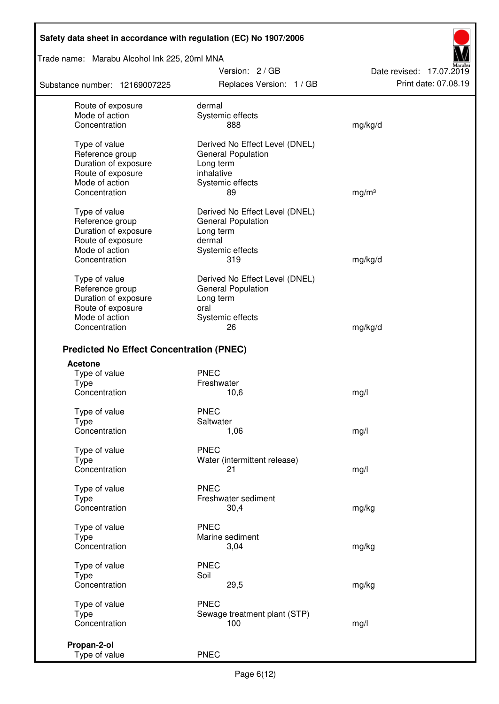Trade name: Marabu Alcohol Ink 225, 20ml MNA

Substance number: 12169007225

Version: 2 / GB Replaces Version: 1 / GB Print date: 07.08.19

Date revised: 17.07.2019

| Route of exposure<br>Mode of action<br>Concentration                                                             | dermal<br>Systemic effects<br>888                                                                          | mg/kg/d           |
|------------------------------------------------------------------------------------------------------------------|------------------------------------------------------------------------------------------------------------|-------------------|
| Type of value<br>Reference group<br>Duration of exposure<br>Route of exposure<br>Mode of action<br>Concentration | Derived No Effect Level (DNEL)<br>General Population<br>Long term<br>inhalative<br>Systemic effects<br>89  | mg/m <sup>3</sup> |
| Type of value<br>Reference group<br>Duration of exposure<br>Route of exposure<br>Mode of action                  | Derived No Effect Level (DNEL)<br><b>General Population</b><br>Long term<br>dermal<br>Systemic effects     |                   |
| Concentration                                                                                                    | 319                                                                                                        | mg/kg/d           |
| Type of value<br>Reference group<br>Duration of exposure<br>Route of exposure<br>Mode of action<br>Concentration | Derived No Effect Level (DNEL)<br><b>General Population</b><br>Long term<br>oral<br>Systemic effects<br>26 | mg/kg/d           |
| <b>Predicted No Effect Concentration (PNEC)</b>                                                                  |                                                                                                            |                   |
| Acetone                                                                                                          |                                                                                                            |                   |
| Type of value                                                                                                    | <b>PNEC</b>                                                                                                |                   |
| <b>Type</b>                                                                                                      | Freshwater                                                                                                 |                   |
| Concentration                                                                                                    | 10,6                                                                                                       | mg/l              |
| Type of value                                                                                                    | <b>PNEC</b>                                                                                                |                   |
| <b>Type</b>                                                                                                      | Saltwater                                                                                                  |                   |
| Concentration                                                                                                    | 1,06                                                                                                       | mg/l              |
| Type of value                                                                                                    | <b>PNEC</b>                                                                                                |                   |
| <b>Type</b>                                                                                                      | Water (intermittent release)                                                                               |                   |
| Concentration                                                                                                    | 21                                                                                                         | mg/l              |
|                                                                                                                  | <b>PNEC</b>                                                                                                |                   |
| Type of value<br>Type                                                                                            | Freshwater sediment                                                                                        |                   |
| Concentration                                                                                                    | 30,4                                                                                                       | mg/kg             |
|                                                                                                                  |                                                                                                            |                   |
| Type of value                                                                                                    | <b>PNEC</b>                                                                                                |                   |
| Type                                                                                                             | Marine sediment                                                                                            |                   |
| Concentration                                                                                                    | 3,04                                                                                                       | mg/kg             |
| Type of value                                                                                                    | <b>PNEC</b>                                                                                                |                   |
| <b>Type</b>                                                                                                      | Soil                                                                                                       |                   |
| Concentration                                                                                                    | 29,5                                                                                                       | mg/kg             |
| Type of value                                                                                                    | <b>PNEC</b>                                                                                                |                   |
| Type                                                                                                             | Sewage treatment plant (STP)                                                                               |                   |
| Concentration                                                                                                    | 100                                                                                                        | mg/l              |
|                                                                                                                  |                                                                                                            |                   |
| Propan-2-ol<br>Type of value                                                                                     | <b>PNEC</b>                                                                                                |                   |
|                                                                                                                  |                                                                                                            |                   |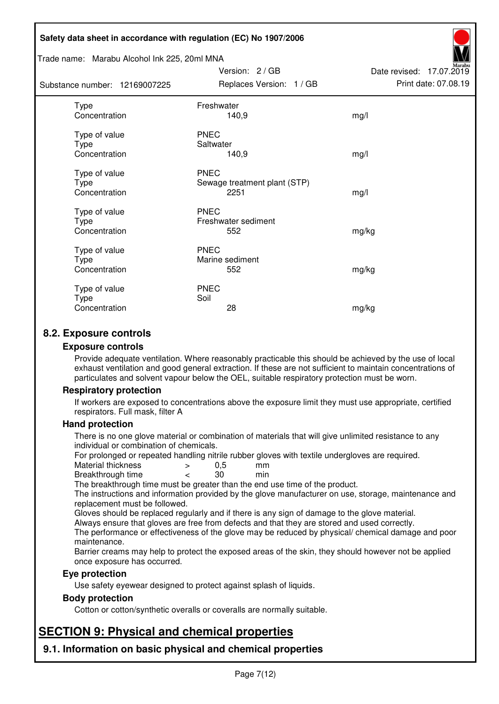#### Trade name: Marabu Alcohol Ink 225, 20ml MNA

Subs<sup>t</sup>

| tance number: 12169007225                     | Replaces Version: 1 / GB                            | Print date: 07.08.19 |
|-----------------------------------------------|-----------------------------------------------------|----------------------|
| <b>Type</b><br>Concentration                  | Freshwater<br>140,9                                 | mg/l                 |
| Type of value<br><b>Type</b><br>Concentration | <b>PNEC</b><br>Saltwater<br>140,9                   | mg/l                 |
| Type of value<br><b>Type</b><br>Concentration | <b>PNEC</b><br>Sewage treatment plant (STP)<br>2251 | mg/l                 |
| Type of value<br><b>Type</b><br>Concentration | <b>PNEC</b><br>Freshwater sediment<br>552           | mg/kg                |
| Type of value<br>Type<br>Concentration        | <b>PNEC</b><br>Marine sediment<br>552               | mg/kg                |
| Type of value<br>Type<br>Concentration        | <b>PNEC</b><br>Soil<br>28                           | mg/kg                |

Version: 2 / GB

Date revised: 17.07.2019

## **8.2. Exposure controls**

#### **Exposure controls**

Provide adequate ventilation. Where reasonably practicable this should be achieved by the use of local exhaust ventilation and good general extraction. If these are not sufficient to maintain concentrations of particulates and solvent vapour below the OEL, suitable respiratory protection must be worn.

#### **Respiratory protection**

If workers are exposed to concentrations above the exposure limit they must use appropriate, certified respirators. Full mask, filter A

#### **Hand protection**

There is no one glove material or combination of materials that will give unlimited resistance to any individual or combination of chemicals.

For prolonged or repeated handling nitrile rubber gloves with textile undergloves are required.<br>Material thickness  $\geq 0.5$  mm

- Material thickness  $\begin{array}{ccc} 0.5 \\ -8.5 \end{array}$  Material thickness  $\begin{array}{ccc} 0.5 \\ -8.5 \end{array}$
- Breakthrough time < 30 min

The breakthrough time must be greater than the end use time of the product.

The instructions and information provided by the glove manufacturer on use, storage, maintenance and replacement must be followed.

Gloves should be replaced regularly and if there is any sign of damage to the glove material.

Always ensure that gloves are free from defects and that they are stored and used correctly.

The performance or effectiveness of the glove may be reduced by physical/ chemical damage and poor maintenance.

Barrier creams may help to protect the exposed areas of the skin, they should however not be applied once exposure has occurred.

#### **Eye protection**

Use safety eyewear designed to protect against splash of liquids.

#### **Body protection**

Cotton or cotton/synthetic overalls or coveralls are normally suitable.

# **SECTION 9: Physical and chemical properties**

**9.1. Information on basic physical and chemical properties**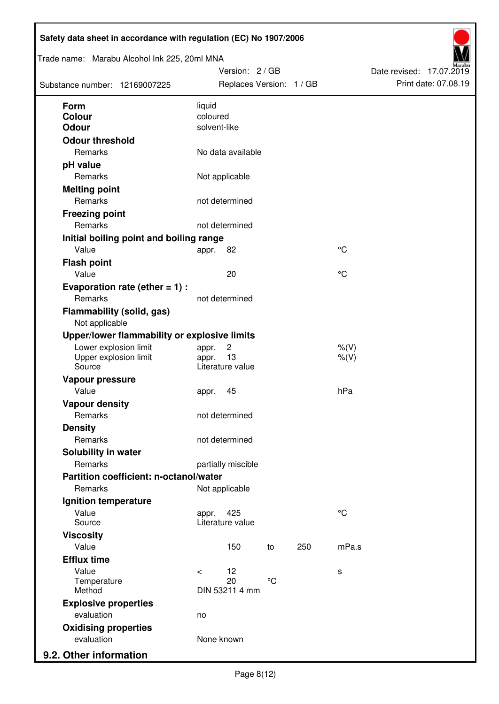| Trade name: Marabu Alcohol Ink 225, 20ml MNA<br>Substance number: 12169007225 |                          | Version: 2 / GB<br>Replaces Version: 1 / GB |                 |     |                    | Date revised: 17.07.2019 | Print date: 07.08.19 |
|-------------------------------------------------------------------------------|--------------------------|---------------------------------------------|-----------------|-----|--------------------|--------------------------|----------------------|
| <b>Form</b>                                                                   | liquid                   |                                             |                 |     |                    |                          |                      |
| Colour<br><b>Odour</b>                                                        | coloured<br>solvent-like |                                             |                 |     |                    |                          |                      |
| <b>Odour threshold</b>                                                        |                          |                                             |                 |     |                    |                          |                      |
| Remarks                                                                       |                          | No data available                           |                 |     |                    |                          |                      |
| pH value                                                                      |                          |                                             |                 |     |                    |                          |                      |
| Remarks                                                                       |                          | Not applicable                              |                 |     |                    |                          |                      |
| <b>Melting point</b>                                                          |                          |                                             |                 |     |                    |                          |                      |
| Remarks                                                                       |                          | not determined                              |                 |     |                    |                          |                      |
| <b>Freezing point</b>                                                         |                          |                                             |                 |     |                    |                          |                      |
| Remarks                                                                       |                          | not determined                              |                 |     |                    |                          |                      |
| Initial boiling point and boiling range                                       |                          |                                             |                 |     |                    |                          |                      |
| Value                                                                         | appr.                    | 82                                          |                 |     | $^{\circ}C$        |                          |                      |
| <b>Flash point</b>                                                            |                          |                                             |                 |     |                    |                          |                      |
| Value                                                                         |                          | 20                                          |                 |     | °C                 |                          |                      |
| Evaporation rate (ether $= 1$ ) :                                             |                          |                                             |                 |     |                    |                          |                      |
| Remarks                                                                       |                          | not determined                              |                 |     |                    |                          |                      |
| <b>Flammability (solid, gas)</b><br>Not applicable                            |                          |                                             |                 |     |                    |                          |                      |
| Upper/lower flammability or explosive limits                                  |                          |                                             |                 |     |                    |                          |                      |
| Lower explosion limit<br>Upper explosion limit<br>Source                      | appr.<br>appr.           | $\overline{c}$<br>13<br>Literature value    |                 |     | $%$ (V)<br>$%$ (V) |                          |                      |
| Vapour pressure                                                               |                          |                                             |                 |     |                    |                          |                      |
| Value                                                                         | appr.                    | 45                                          |                 |     | hPa                |                          |                      |
| <b>Vapour density</b>                                                         |                          |                                             |                 |     |                    |                          |                      |
| Remarks                                                                       |                          | not determined                              |                 |     |                    |                          |                      |
| <b>Density</b>                                                                |                          |                                             |                 |     |                    |                          |                      |
| Remarks                                                                       |                          | not determined                              |                 |     |                    |                          |                      |
| Solubility in water                                                           |                          |                                             |                 |     |                    |                          |                      |
| Remarks                                                                       |                          | partially miscible                          |                 |     |                    |                          |                      |
| Partition coefficient: n-octanol/water                                        |                          |                                             |                 |     |                    |                          |                      |
| Remarks                                                                       |                          | Not applicable                              |                 |     |                    |                          |                      |
| Ignition temperature                                                          |                          |                                             |                 |     |                    |                          |                      |
| Value<br>Source                                                               | appr.                    | 425<br>Literature value                     |                 |     | $^{\circ}C$        |                          |                      |
| <b>Viscosity</b>                                                              |                          |                                             |                 |     |                    |                          |                      |
| Value                                                                         |                          | 150                                         | to              | 250 | mPa.s              |                          |                      |
| <b>Efflux time</b>                                                            |                          |                                             |                 |     |                    |                          |                      |
| Value                                                                         | $\prec$                  | 12                                          |                 |     | s                  |                          |                      |
| Temperature<br>Method                                                         |                          | 20<br>DIN 53211 4 mm                        | $\rm ^{\circ}C$ |     |                    |                          |                      |
| <b>Explosive properties</b>                                                   |                          |                                             |                 |     |                    |                          |                      |
| evaluation                                                                    | no                       |                                             |                 |     |                    |                          |                      |
| <b>Oxidising properties</b>                                                   |                          |                                             |                 |     |                    |                          |                      |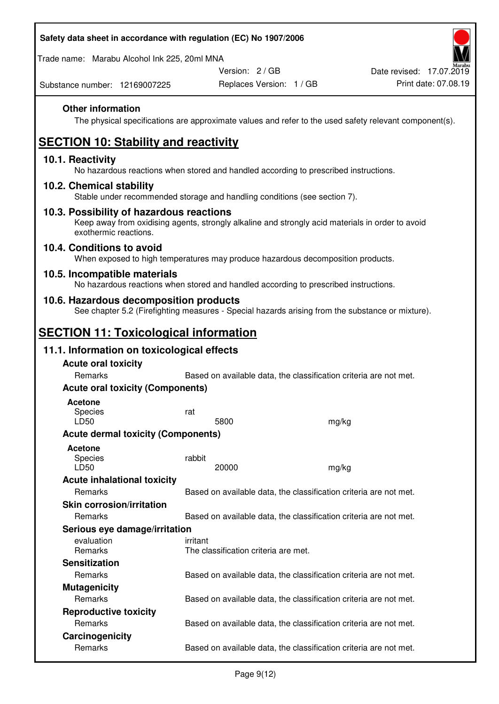| Safety data sheet in accordance with regulation (EC) No 1907/2006 |
|-------------------------------------------------------------------|
| Trade name: Marabu Alcohol Ink 225, 20ml MNA                      |

Date revised: 17.07.2019

Substance number: 12169007225

Version: 2 / GB Replaces Version: 1 / GB Print date: 07.08.19

## **Other information**

The physical specifications are approximate values and refer to the used safety relevant component(s).

# **SECTION 10: Stability and reactivity**

## **10.1. Reactivity**

No hazardous reactions when stored and handled according to prescribed instructions.

### **10.2. Chemical stability**

Stable under recommended storage and handling conditions (see section 7).

#### **10.3. Possibility of hazardous reactions**

Keep away from oxidising agents, strongly alkaline and strongly acid materials in order to avoid exothermic reactions.

### **10.4. Conditions to avoid**

When exposed to high temperatures may produce hazardous decomposition products.

### **10.5. Incompatible materials**

No hazardous reactions when stored and handled according to prescribed instructions.

### **10.6. Hazardous decomposition products**

See chapter 5.2 (Firefighting measures - Special hazards arising from the substance or mixture).

## **SECTION 11: Toxicological information**

## **11.1. Information on toxicological effects**

| <b>Acute oral toxicity</b><br>Remarks     | Based on available data, the classification criteria are not met. |       |
|-------------------------------------------|-------------------------------------------------------------------|-------|
| <b>Acute oral toxicity (Components)</b>   |                                                                   |       |
| <b>Acetone</b><br><b>Species</b><br>LD50  | rat<br>5800                                                       | mg/kg |
| <b>Acute dermal toxicity (Components)</b> |                                                                   |       |
| Acetone<br>Species<br>LD50                | rabbit<br>20000                                                   | mg/kg |
| <b>Acute inhalational toxicity</b>        |                                                                   |       |
| <b>Remarks</b>                            | Based on available data, the classification criteria are not met. |       |
| <b>Skin corrosion/irritation</b>          |                                                                   |       |
| <b>Remarks</b>                            | Based on available data, the classification criteria are not met. |       |
| Serious eye damage/irritation             |                                                                   |       |
| evaluation<br><b>Remarks</b>              | irritant<br>The classification criteria are met.                  |       |
| <b>Sensitization</b>                      |                                                                   |       |
| <b>Remarks</b>                            | Based on available data, the classification criteria are not met. |       |
| <b>Mutagenicity</b>                       |                                                                   |       |
| Remarks                                   | Based on available data, the classification criteria are not met. |       |
| <b>Reproductive toxicity</b>              |                                                                   |       |
| Remarks                                   | Based on available data, the classification criteria are not met. |       |
| Carcinogenicity                           |                                                                   |       |
| Remarks                                   | Based on available data, the classification criteria are not met. |       |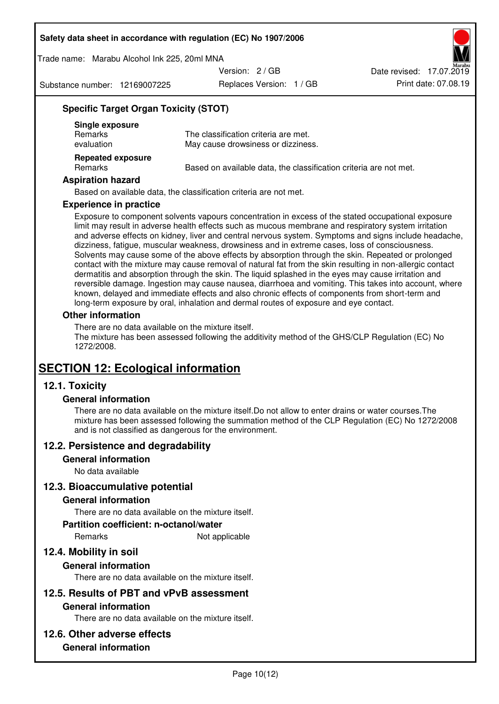Trade name: Marabu Alcohol Ink 225, 20ml MNA

Version: 2 / GB

Substance number: 12169007225

Replaces Version: 1 / GB Print date: 07.08.19 Date revised: 17.07.2019

## **Specific Target Organ Toxicity (STOT)**

| Single exposure<br><b>Remarks</b><br>evaluation | The classification criteria are met.<br>May cause drowsiness or dizziness. |
|-------------------------------------------------|----------------------------------------------------------------------------|
| <b>Repeated exposure</b><br>Remarks             | Based on available data, the classification criteria are not met.          |

#### **Aspiration hazard**

Based on available data, the classification criteria are not met.

#### **Experience in practice**

Exposure to component solvents vapours concentration in excess of the stated occupational exposure limit may result in adverse health effects such as mucous membrane and respiratory system irritation and adverse effects on kidney, liver and central nervous system. Symptoms and signs include headache, dizziness, fatigue, muscular weakness, drowsiness and in extreme cases, loss of consciousness. Solvents may cause some of the above effects by absorption through the skin. Repeated or prolonged contact with the mixture may cause removal of natural fat from the skin resulting in non-allergic contact dermatitis and absorption through the skin. The liquid splashed in the eyes may cause irritation and reversible damage. Ingestion may cause nausea, diarrhoea and vomiting. This takes into account, where known, delayed and immediate effects and also chronic effects of components from short-term and long-term exposure by oral, inhalation and dermal routes of exposure and eye contact.

#### **Other information**

There are no data available on the mixture itself. The mixture has been assessed following the additivity method of the GHS/CLP Regulation (EC) No 1272/2008.

## **SECTION 12: Ecological information**

## **12.1. Toxicity**

#### **General information**

There are no data available on the mixture itself.Do not allow to enter drains or water courses.The mixture has been assessed following the summation method of the CLP Regulation (EC) No 1272/2008 and is not classified as dangerous for the environment.

#### **12.2. Persistence and degradability**

#### **General information**

No data available

#### **12.3. Bioaccumulative potential**

#### **General information**

There are no data available on the mixture itself.

#### **Partition coefficient: n-octanol/water**

Remarks Not applicable

## **12.4. Mobility in soil**

#### **General information**

There are no data available on the mixture itself.

#### **12.5. Results of PBT and vPvB assessment**

#### **General information**

There are no data available on the mixture itself.

#### **12.6. Other adverse effects**

### **General information**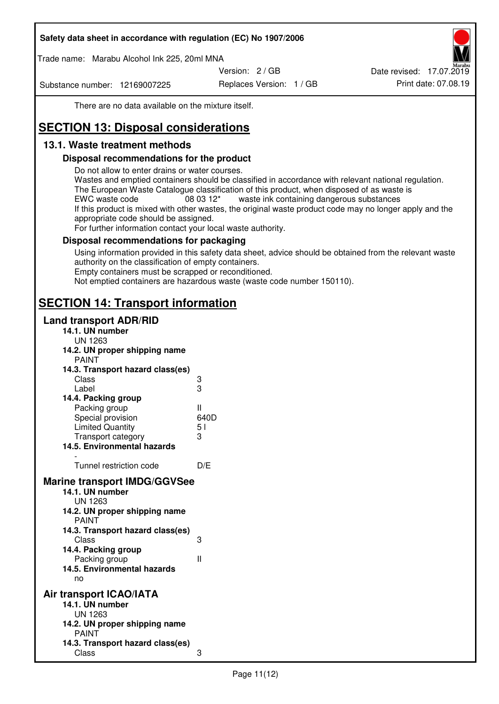Trade name: Marabu Alcohol Ink 225, 20ml MNA

Version: 2 / GB

Substance number: 12169007225

Replaces Version: 1 / GB Print date: 07.08.19 Date revised: 17.07.2019

There are no data available on the mixture itself.

# **SECTION 13: Disposal considerations**

## **13.1. Waste treatment methods**

### **Disposal recommendations for the product**

Do not allow to enter drains or water courses.

Wastes and emptied containers should be classified in accordance with relevant national regulation. The European Waste Catalogue classification of this product, when disposed of as waste is EWC waste code  $08\,03\,12^*$  waste ink containing dangerous substances If this product is mixed with other wastes, the original waste product code may no longer apply and the appropriate code should be assigned.

For further information contact your local waste authority.

### **Disposal recommendations for packaging**

Using information provided in this safety data sheet, advice should be obtained from the relevant waste authority on the classification of empty containers. Empty containers must be scrapped or reconditioned.

Not emptied containers are hazardous waste (waste code number 150110).

## **SECTION 14: Transport information**

### **Land transport ADR/RID**

| 14.1. UN number<br><b>UN 1263</b>                                                                                                                                                                                                            |                   |
|----------------------------------------------------------------------------------------------------------------------------------------------------------------------------------------------------------------------------------------------|-------------------|
| 14.2. UN proper shipping name                                                                                                                                                                                                                |                   |
| <b>PAINT</b>                                                                                                                                                                                                                                 |                   |
| 14.3. Transport hazard class(es)                                                                                                                                                                                                             |                   |
| Class                                                                                                                                                                                                                                        |                   |
| Label                                                                                                                                                                                                                                        | ვ<br>ვ            |
| 14.4. Packing group                                                                                                                                                                                                                          |                   |
| Packing group                                                                                                                                                                                                                                | Ш                 |
| Special provision                                                                                                                                                                                                                            | 640D              |
| <b>Limited Quantity</b>                                                                                                                                                                                                                      | 5 <sub>1</sub>    |
| Transport category                                                                                                                                                                                                                           | 3                 |
| 14.5. Environmental hazards                                                                                                                                                                                                                  |                   |
| Tunnel restriction code                                                                                                                                                                                                                      | D/E               |
|                                                                                                                                                                                                                                              |                   |
| <b>Marine transport IMDG/GGVSee</b><br>14.1. UN number<br>UN 1263<br>14.2. UN proper shipping name<br><b>PAINT</b><br>14.3. Transport hazard class(es)<br>Class<br>14.4. Packing group<br>Packing group<br>14.5. Environmental hazards<br>no | 3<br>$\mathbf{I}$ |
| Air transport ICAO/IATA                                                                                                                                                                                                                      |                   |
| 14.1. UN number                                                                                                                                                                                                                              |                   |
| UN 1263                                                                                                                                                                                                                                      |                   |
| 14.2. UN proper shipping name<br><b>PAINT</b>                                                                                                                                                                                                |                   |
| 14.3. Transport hazard class(es)                                                                                                                                                                                                             |                   |
| Class                                                                                                                                                                                                                                        | 3                 |
|                                                                                                                                                                                                                                              |                   |